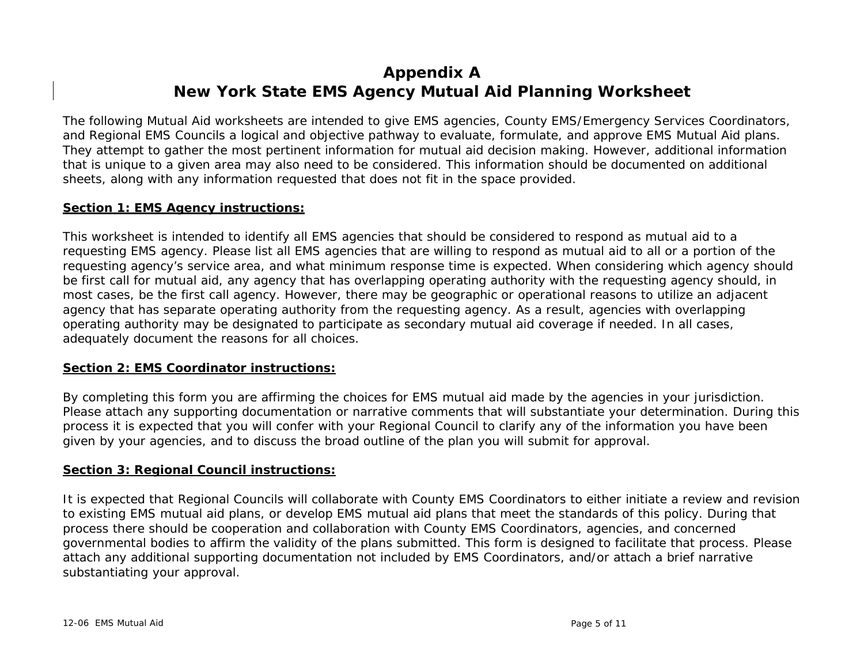# **Appendix A New York State EMS Agency Mutual Aid Planning Worksheet**

The following Mutual Aid worksheets are intended to give EMS agencies, County EMS/Emergency Services Coordinators, and Regional EMS Councils a logical and objective pathway to evaluate, formulate, and approve EMS Mutual Aid plans. They attempt to gather the most pertinent information for mutual aid decision making. However, additional information that is unique to a given area may also need to be considered. This information should be documented on additional sheets, along with any information requested that does not fit in the space provided.

## **Section 1: EMS Agency instructions:**

This worksheet is intended to identify all EMS agencies that should be considered to respond as mutual aid to a requesting EMS agency. Please list all EMS agencies that are willing to respond as mutual aid to all or a portion of the requesting agency's service area, and what minimum response time is expected. When considering which agency should be first call for mutual aid, any agency that has overlapping operating authority with the requesting agency should, in most cases, be the first call agency. However, there may be geographic or operational reasons to utilize an adjacent agency that has separate operating authority from the requesting agency. As a result, agencies with overlapping operating authority may be designated to participate as secondary mutual aid coverage if needed. In all cases, adequately document the reasons for all choices.

### **Section 2: EMS Coordinator instructions:**

By completing this form you are affirming the choices for EMS mutual aid made by the agencies in your jurisdiction. Please attach any supporting documentation or narrative comments that will substantiate your determination. During this process it is expected that you will confer with your Regional Council to clarify any of the information you have been given by your agencies, and to discuss the broad outline of the plan you will submit for approval.

### **Section 3: Regional Council instructions:**

It is expected that Regional Councils will collaborate with County EMS Coordinators to either initiate a review and revision to existing EMS mutual aid plans, or develop EMS mutual aid plans that meet the standards of this policy. During that process there should be cooperation and collaboration with County EMS Coordinators, agencies, and concerned governmental bodies to affirm the validity of the plans submitted. This form is designed to facilitate that process. Please attach any additional supporting documentation not included by EMS Coordinators, and/or attach a brief narrative substantiating your approval.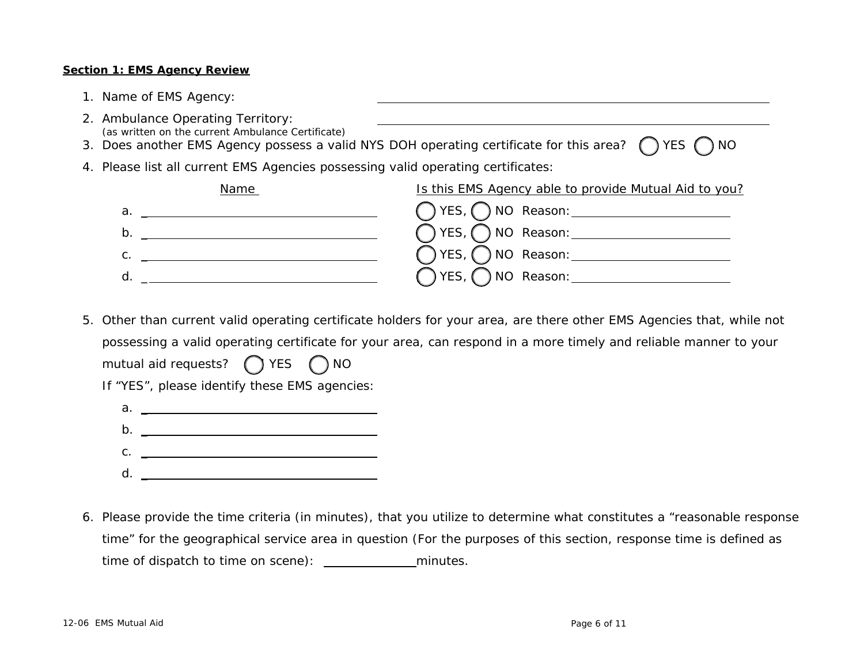#### **Section 1: EMS Agency Review**

- 1. Name of EMS Agency:
- 2. Ambulance Operating Territory: (as written on the current Ambulance Certificate)
- 3. Does another EMS Agency possess a valid NYS DOH operating certificate for this area? ( )YES ( )NC
- 4. Please list all current EMS Agencies possessing valid operating certificates:

|    | Name                                                                                                                 | Is this EMS Agency able to provide Mutual Aid to you? |
|----|----------------------------------------------------------------------------------------------------------------------|-------------------------------------------------------|
| а. | <u> 1980 - Jan Stein Stein Stein Stein Stein Stein Stein Stein Stein Stein Stein Stein Stein Stein Stein Stein S</u> |                                                       |
|    | $\mathsf{b}$ . $\Box$                                                                                                |                                                       |
|    | $\mathsf{C}$ .                                                                                                       |                                                       |
|    |                                                                                                                      |                                                       |

- 5. Other than current valid operating certificate holders for your area, are there other EMS Agencies that, while not possessing a valid operating certificate for your area, can respond in a more timely and reliable manner to your mutual aid requests?  $\bigcap$  YES  $\bigcap$  NO
	- If "YES", please identify these EMS agencies:
		- a. \_
		- b. \_ c. \_
		- d. \_
- 6. Please provide the time criteria (in minutes), that you utilize to determine what constitutes a "reasonable response time" for the geographical service area in question (For the purposes of this section, response time is defined as time of dispatch to time on scene): minutes.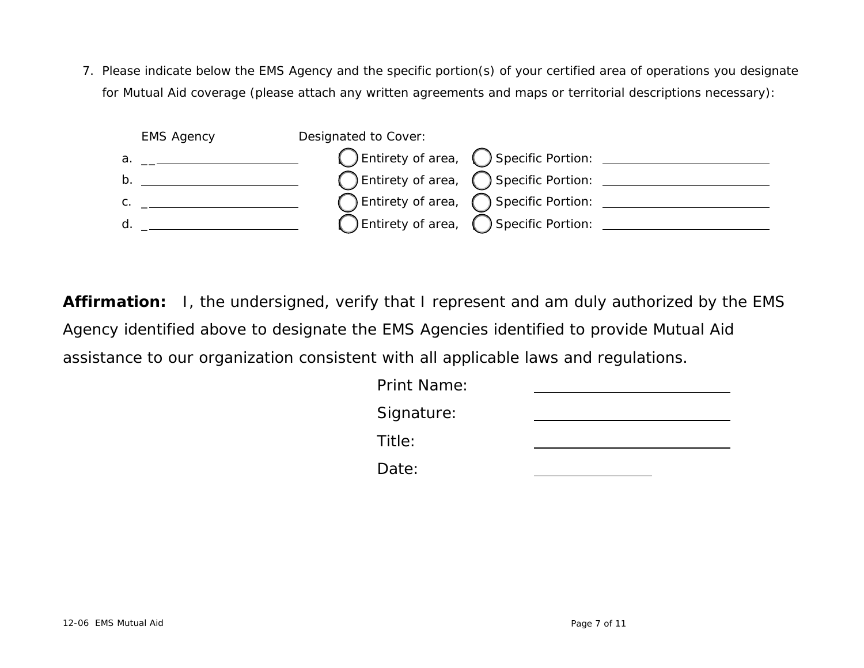7. Please indicate below the EMS Agency and the specific portion(s) of your certified area of operations you designate for Mutual Aid coverage (please attach any written agreements and maps or territorial descriptions necessary):



**Affirmation:** I, the undersigned, verify that I represent and am duly authorized by the EMS Agency identified above to designate the EMS Agencies identified to provide Mutual Aid assistance to our organization consistent with all applicable laws and regulations.

| <b>Print Name:</b> |  |
|--------------------|--|
| Signature:         |  |
| Title:             |  |
| Date:              |  |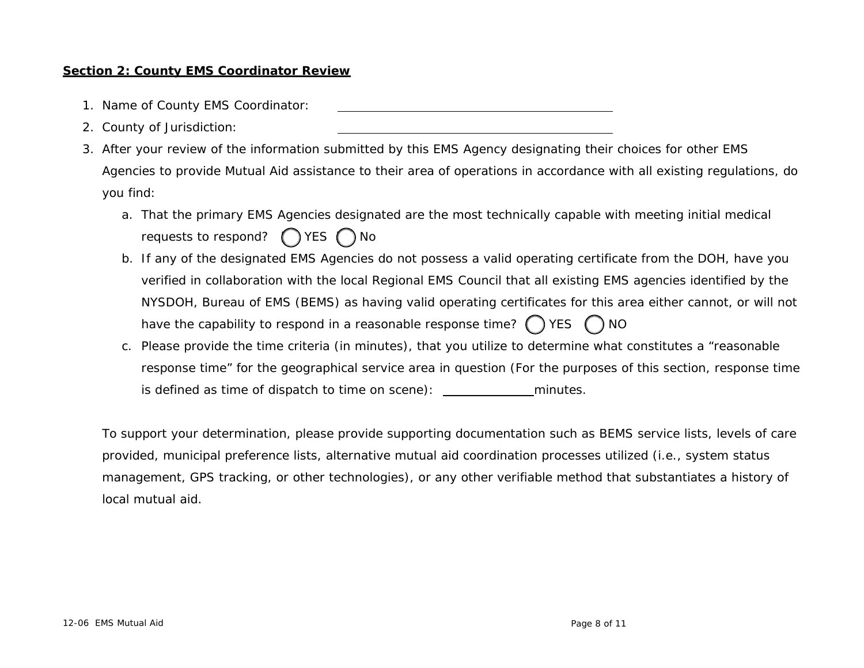## **Section 2: County EMS Coordinator Review**

- 1. Name of County EMS Coordinator:
- 2. County of Jurisdiction:
- 3. After your review of the information submitted by this EMS Agency designating their choices for other EMS Agencies to provide Mutual Aid assistance to their area of operations in accordance with all existing regulations, do you find:
	- a. That the primary EMS Agencies designated are the most technically capable with meeting initial medical requests to respond?  $\bigcap$  YES  $\bigcap$  No
	- b. If any of the designated EMS Agencies do not possess a valid operating certificate from the DOH, have you verified in collaboration with the local Regional EMS Council that all existing EMS agencies identified by the NYSDOH, Bureau of EMS (BEMS) as having valid operating certificates for this area either cannot, or will not have the capability to respond in a reasonable response time?  $\bigcap$  YES  $\bigcap$  NO
	- c. Please provide the time criteria (in minutes), that you utilize to determine what constitutes a "reasonable response time" for the geographical service area in question (For the purposes of this section, response time is defined as time of dispatch to time on scene): minutes.

*To support your determination, please provide supporting documentation such as BEMS service lists, levels of care provided, municipal preference lists, alternative mutual aid coordination processes utilized (i.e., system status management, GPS tracking, or other technologies), or any other verifiable method that substantiates a history of local mutual aid.*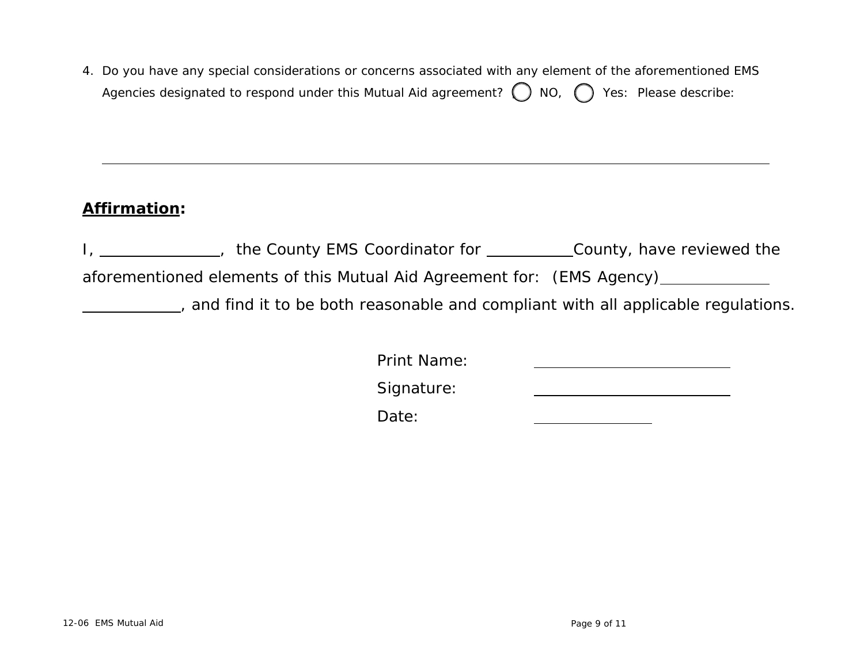4. Do you have any special considerations or concerns associated with any element of the aforementioned EMS Agencies designated to respond under this Mutual Aid agreement?  $\bigcap$  NO,  $\bigcap$  Yes: Please describe:

## **Affirmation:**

I, \_\_\_\_\_\_\_\_\_\_\_\_\_\_, the County EMS Coordinator for \_\_\_\_\_\_\_\_\_\_County, have reviewed the

aforementioned elements of this Mutual Aid Agreement for: (EMS Agency)

, and find it to be both reasonable and compliant with all applicable regulations.

Print Name:

Signature:

Date: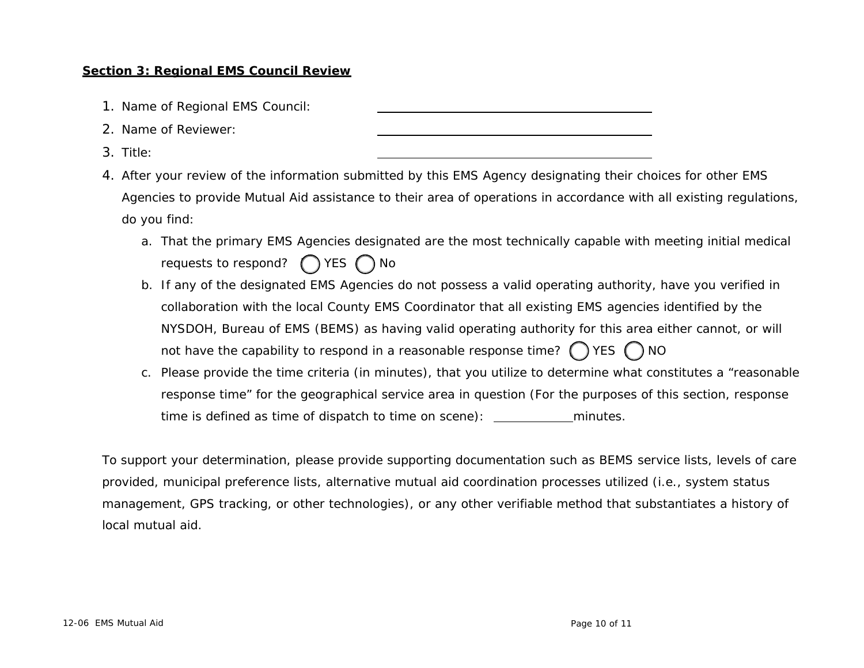### **Section 3: Regional EMS Council Review**

- 1. Name of Regional EMS Council:
- 2. Name of Reviewer:
- 3. Title:
- 4. After your review of the information submitted by this EMS Agency designating their choices for other EMS Agencies to provide Mutual Aid assistance to their area of operations in accordance with all existing regulations, do you find:
	- a. That the primary EMS Agencies designated are the most technically capable with meeting initial medical requests to respond?  $($   $)$  YES  $($   $)$  No
	- b. If any of the designated EMS Agencies do not possess a valid operating authority, have you verified in collaboration with the local County EMS Coordinator that all existing EMS agencies identified by the NYSDOH, Bureau of EMS (BEMS) as having valid operating authority for this area either cannot, or will not have the capability to respond in a reasonable response time?  $\bigcap$  YES  $\bigcap$  NO
	- c. Please provide the time criteria (in minutes), that you utilize to determine what constitutes a "reasonable response time" for the geographical service area in question (For the purposes of this section, response time is defined as time of dispatch to time on scene):  $\frac{1}{\sqrt{1-\frac{1}{n}}}\$  minutes.

*To support your determination, please provide supporting documentation such as BEMS service lists, levels of care provided, municipal preference lists, alternative mutual aid coordination processes utilized (i.e., system status management, GPS tracking, or other technologies), or any other verifiable method that substantiates a history of local mutual aid.*